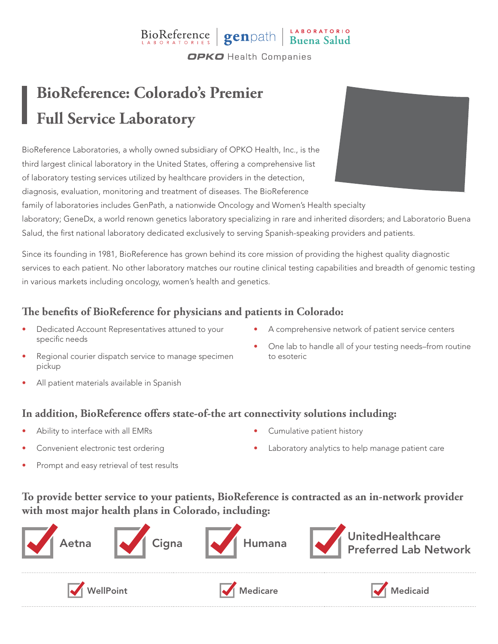### BioReference genpath Buena Salud **OPKO** Health Companies

## **BioReference: Colorado's Premier Full Service Laboratory**

BioReference Laboratories, a wholly owned subsidiary of OPKO Health, Inc., is the third largest clinical laboratory in the United States, offering a comprehensive list of laboratory testing services utilized by healthcare providers in the detection, diagnosis, evaluation, monitoring and treatment of diseases. The BioReference

family of laboratories includes GenPath, a nationwide Oncology and Women's Health specialty laboratory; GeneDx, a world renown genetics laboratory specializing in rare and inherited disorders; and Laboratorio Buena Salud, the first national laboratory dedicated exclusively to serving Spanish-speaking providers and patients.

Since its founding in 1981, BioReference has grown behind its core mission of providing the highest quality diagnostic services to each patient. No other laboratory matches our routine clinical testing capabilities and breadth of genomic testing in various markets including oncology, women's health and genetics.

#### **The benefits of BioReference for physicians and patients in Colorado:**

- Dedicated Account Representatives attuned to your specific needs
- A comprehensive network of patient service centers

• One lab to handle all of your testing needs–from routine

- Regional courier dispatch service to manage specimen pickup
- All patient materials available in Spanish

### **In addition, BioReference offers state-of-the art connectivity solutions including:**

- Ability to interface with all EMRs
- Convenient electronic test ordering

• Cumulative patient history

to esoteric

Laboratory analytics to help manage patient care

Prompt and easy retrieval of test results

#### **To provide better service to your patients, BioReference is contracted as an in-network provider with most major health plans in Colorado, including:**